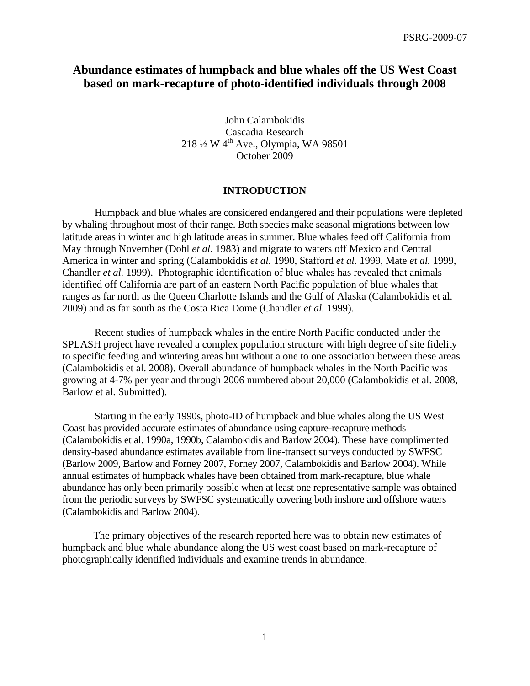# **Abundance estimates of humpback and blue whales off the US West Coast based on mark-recapture of photo-identified individuals through 2008**

John Calambokidis Cascadia Research  $218\frac{1}{2}$  W 4<sup>th</sup> Ave., Olympia, WA 98501 October 2009

## **INTRODUCTION**

 Humpback and blue whales are considered endangered and their populations were depleted by whaling throughout most of their range. Both species make seasonal migrations between low latitude areas in winter and high latitude areas in summer. Blue whales feed off California from May through November (Dohl *et al.* 1983) and migrate to waters off Mexico and Central America in winter and spring (Calambokidis *et al.* 1990, Stafford *et al.* 1999, Mate *et al.* 1999, Chandler *et al.* 1999). Photographic identification of blue whales has revealed that animals identified off California are part of an eastern North Pacific population of blue whales that ranges as far north as the Queen Charlotte Islands and the Gulf of Alaska (Calambokidis et al. 2009) and as far south as the Costa Rica Dome (Chandler *et al.* 1999).

 Recent studies of humpback whales in the entire North Pacific conducted under the SPLASH project have revealed a complex population structure with high degree of site fidelity to specific feeding and wintering areas but without a one to one association between these areas (Calambokidis et al. 2008). Overall abundance of humpback whales in the North Pacific was growing at 4-7% per year and through 2006 numbered about 20,000 (Calambokidis et al. 2008, Barlow et al. Submitted).

 Starting in the early 1990s, photo-ID of humpback and blue whales along the US West Coast has provided accurate estimates of abundance using capture-recapture methods (Calambokidis et al. 1990a, 1990b, Calambokidis and Barlow 2004). These have complimented density-based abundance estimates available from line-transect surveys conducted by SWFSC (Barlow 2009, Barlow and Forney 2007, Forney 2007, Calambokidis and Barlow 2004). While annual estimates of humpback whales have been obtained from mark-recapture, blue whale abundance has only been primarily possible when at least one representative sample was obtained from the periodic surveys by SWFSC systematically covering both inshore and offshore waters (Calambokidis and Barlow 2004).

The primary objectives of the research reported here was to obtain new estimates of humpback and blue whale abundance along the US west coast based on mark-recapture of photographically identified individuals and examine trends in abundance.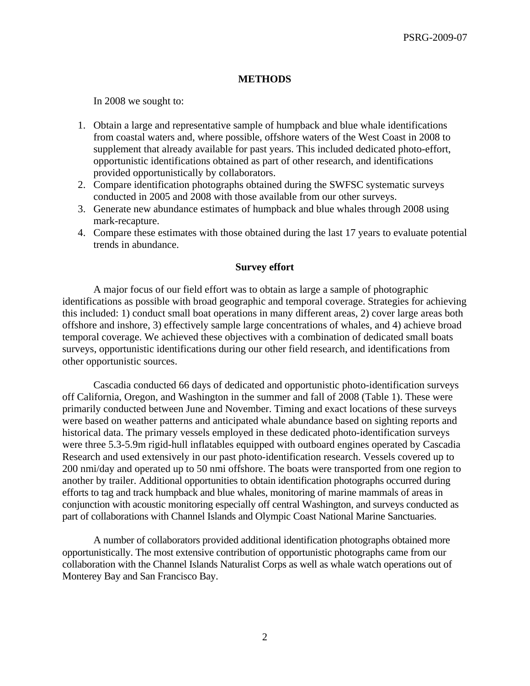## **METHODS**

In 2008 we sought to:

- 1. Obtain a large and representative sample of humpback and blue whale identifications from coastal waters and, where possible, offshore waters of the West Coast in 2008 to supplement that already available for past years. This included dedicated photo-effort, opportunistic identifications obtained as part of other research, and identifications provided opportunistically by collaborators.
- 2. Compare identification photographs obtained during the SWFSC systematic surveys conducted in 2005 and 2008 with those available from our other surveys.
- 3. Generate new abundance estimates of humpback and blue whales through 2008 using mark-recapture.
- 4. Compare these estimates with those obtained during the last 17 years to evaluate potential trends in abundance.

# **Survey effort**

A major focus of our field effort was to obtain as large a sample of photographic identifications as possible with broad geographic and temporal coverage. Strategies for achieving this included: 1) conduct small boat operations in many different areas, 2) cover large areas both offshore and inshore, 3) effectively sample large concentrations of whales, and 4) achieve broad temporal coverage. We achieved these objectives with a combination of dedicated small boats surveys, opportunistic identifications during our other field research, and identifications from other opportunistic sources.

Cascadia conducted 66 days of dedicated and opportunistic photo-identification surveys off California, Oregon, and Washington in the summer and fall of 2008 (Table 1). These were primarily conducted between June and November. Timing and exact locations of these surveys were based on weather patterns and anticipated whale abundance based on sighting reports and historical data. The primary vessels employed in these dedicated photo-identification surveys were three 5.3-5.9m rigid-hull inflatables equipped with outboard engines operated by Cascadia Research and used extensively in our past photo-identification research. Vessels covered up to 200 nmi/day and operated up to 50 nmi offshore. The boats were transported from one region to another by trailer. Additional opportunities to obtain identification photographs occurred during efforts to tag and track humpback and blue whales, monitoring of marine mammals of areas in conjunction with acoustic monitoring especially off central Washington, and surveys conducted as part of collaborations with Channel Islands and Olympic Coast National Marine Sanctuaries.

A number of collaborators provided additional identification photographs obtained more opportunistically. The most extensive contribution of opportunistic photographs came from our collaboration with the Channel Islands Naturalist Corps as well as whale watch operations out of Monterey Bay and San Francisco Bay.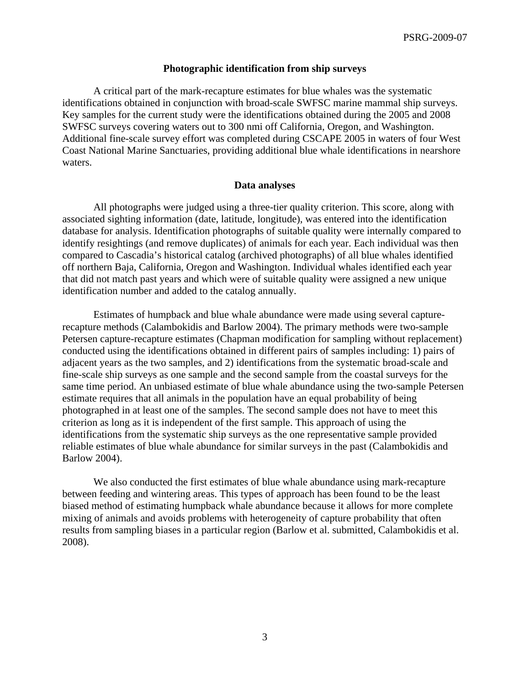## **Photographic identification from ship surveys**

 A critical part of the mark-recapture estimates for blue whales was the systematic identifications obtained in conjunction with broad-scale SWFSC marine mammal ship surveys. Key samples for the current study were the identifications obtained during the 2005 and 2008 SWFSC surveys covering waters out to 300 nmi off California, Oregon, and Washington. Additional fine-scale survey effort was completed during CSCAPE 2005 in waters of four West Coast National Marine Sanctuaries, providing additional blue whale identifications in nearshore waters.

### **Data analyses**

 All photographs were judged using a three-tier quality criterion. This score, along with associated sighting information (date, latitude, longitude), was entered into the identification database for analysis. Identification photographs of suitable quality were internally compared to identify resightings (and remove duplicates) of animals for each year. Each individual was then compared to Cascadia's historical catalog (archived photographs) of all blue whales identified off northern Baja, California, Oregon and Washington. Individual whales identified each year that did not match past years and which were of suitable quality were assigned a new unique identification number and added to the catalog annually.

 Estimates of humpback and blue whale abundance were made using several capturerecapture methods (Calambokidis and Barlow 2004). The primary methods were two-sample Petersen capture-recapture estimates (Chapman modification for sampling without replacement) conducted using the identifications obtained in different pairs of samples including: 1) pairs of adjacent years as the two samples, and 2) identifications from the systematic broad-scale and fine-scale ship surveys as one sample and the second sample from the coastal surveys for the same time period. An unbiased estimate of blue whale abundance using the two-sample Petersen estimate requires that all animals in the population have an equal probability of being photographed in at least one of the samples. The second sample does not have to meet this criterion as long as it is independent of the first sample. This approach of using the identifications from the systematic ship surveys as the one representative sample provided reliable estimates of blue whale abundance for similar surveys in the past (Calambokidis and Barlow 2004).

We also conducted the first estimates of blue whale abundance using mark-recapture between feeding and wintering areas. This types of approach has been found to be the least biased method of estimating humpback whale abundance because it allows for more complete mixing of animals and avoids problems with heterogeneity of capture probability that often results from sampling biases in a particular region (Barlow et al. submitted, Calambokidis et al. 2008).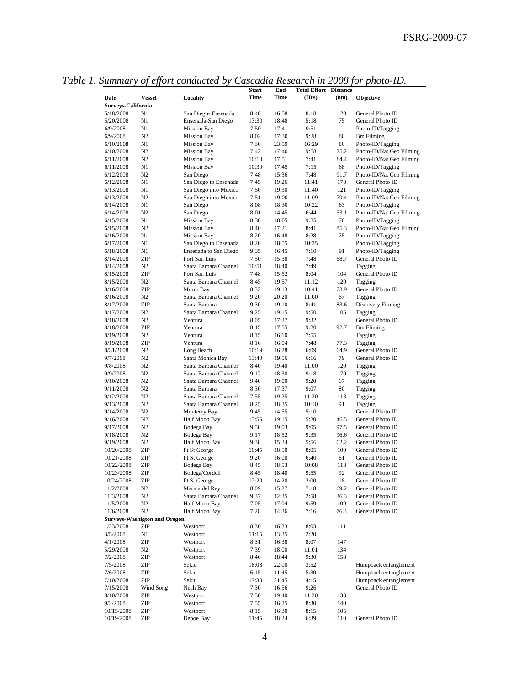|                    |                                     |                       | <b>Start</b> | End   | <b>Total Effort Distance</b> |      |                          |
|--------------------|-------------------------------------|-----------------------|--------------|-------|------------------------------|------|--------------------------|
| Date               | <b>Vessel</b>                       | Locality              | Time         | Time  | (Hrs)                        | (nm) | Objective                |
| Surveys-California |                                     |                       |              |       |                              |      |                          |
| 5/18/2008          | N1                                  | San Diego-Ensenada    | 8:40         | 16:58 | 8:18                         | 120  | General Photo ID         |
| 5/20/2008          | N1                                  | Ensenada-San Diego    | 13:30        | 18:48 | 5:18                         | 75   | General Photo ID         |
| 6/9/2008           | N1                                  | <b>Mission Bay</b>    | 7:50         | 17:41 | 9:51                         |      | Photo-ID/Tagging         |
| 6/9/2008           | N <sub>2</sub>                      | <b>Mission Bay</b>    | 8:02         | 17:30 | 9:28                         | 80   | <b>Bm</b> Filming        |
| 6/10/2008          | N1                                  | <b>Mission Bay</b>    | 7:30         | 23:59 | 16:29                        | 80   | Photo-ID/Tagging         |
| 6/10/2008          | N2                                  | <b>Mission Bay</b>    | 7:42         | 17:40 | 9:58                         | 75.2 | Photo-ID/Nat Geo Filming |
| 6/11/2008          | N <sub>2</sub>                      | <b>Mission Bay</b>    | 10:10        | 17:51 | 7:41                         | 84.4 | Photo-ID/Nat Geo Filming |
| 6/11/2008          | N1                                  | <b>Mission Bay</b>    | 10:30        | 17:45 | 7:15                         | 68   | Photo-ID/Tagging         |
| 6/12/2008          | N <sub>2</sub>                      | San Diego             | 7:48         | 15:36 | 7:48                         | 91.7 | Photo-ID/Nat Geo Filming |
| 6/12/2008          | N1                                  | San Diego to Ensenada | 7:45         | 19:26 | 11:41                        | 173  | General Photo ID         |
| 6/13/2008          | N1                                  | San Diego into Mexico | 7:50         | 19:30 | 11:40                        | 121  | Photo-ID/Tagging         |
| 6/13/2008          | N2                                  | San Diego into Mexico | 7:51         | 19:00 | 11:09                        | 79.4 | Photo-ID/Nat Geo Filming |
| 6/14/2008          | N1                                  | San Diego             | 8:08         | 18:30 | 10:22                        | 63   | Photo-ID/Tagging         |
| 6/14/2008          | N <sub>2</sub>                      | San Diego             | 8:01         | 14:45 | 6:44                         | 53.1 | Photo-ID/Nat Geo Filming |
| 6/15/2008          | N1                                  | <b>Mission Bay</b>    | 8:30         | 18:05 | 9:35                         | 70   | Photo-ID/Tagging         |
| 6/15/2008          | N2                                  | <b>Mission Bay</b>    | 8:40         | 17:21 | 8:41                         | 85.3 | Photo-ID/Nat Geo Filming |
| 6/16/2008          | N1                                  | <b>Mission Bay</b>    | 8:20         | 16:48 | 8:28                         | 75   | Photo-ID/Tagging         |
| 6/17/2008          | N1                                  | San Diego to Ensenada | 8:20         | 18:55 | 10:35                        |      | Photo-ID/Tagging         |
| 6/18/2008          | N1                                  | Ensenada to San Diego | 9:35         | 16:45 | 7:10                         | 91   | Photo-ID/Tagging         |
| 8/14/2008          | ZIP                                 | Port San Luis         | 7:50         | 15:38 | 7:48                         | 68.7 | General Photo ID         |
| 8/14/2008          | N <sub>2</sub>                      | Santa Barbara Channel | 10:51        | 18:40 | 7:49                         |      | Tagging                  |
| 8/15/2008          | ZIP                                 | Port San Luis         | 7:48         | 15:52 | 8:04                         | 104  | General Photo ID         |
| 8/15/2008          | N2                                  | Santa Barbara Channel | 8:45         | 19:57 | 11:12                        | 120  | Tagging                  |
| 8/16/2008          | ZIP                                 | Morro Bay             | 8:32         | 19:13 | 10:41                        | 73.9 | General Photo ID         |
| 8/16/2008          | N2                                  | Santa Barbara Channel | 9:20         | 20:20 | 11:00                        | 67   | Tagging                  |
| 8/17/2008          | ZIP                                 | Santa Barbara         | 9:30         | 19:10 | 8:41                         | 83.6 | Discovery Filming        |
| 8/17/2008          | N2                                  | Santa Barbara Channel | 9:25         | 19:15 | 9:50                         | 105  | Tagging                  |
| 8/18/2008          | N <sub>2</sub>                      | Ventura               | 8:05         | 17:37 | 9:32                         |      | General Photo ID         |
|                    | ZIP                                 | Ventura               | 8:15         | 17:35 | 9:20                         | 92.7 | <b>Bm</b> Fliming        |
| 8/18/2008          | N <sub>2</sub>                      | Ventura               |              |       |                              |      |                          |
| 8/19/2008          |                                     |                       | 8:15         | 16:10 | 7:55                         |      | Tagging                  |
| 8/19/2008          | ZIP                                 | Ventura               | 8:16         | 16:04 | 7:48                         | 77.3 | Tagging                  |
| 8/31/2008          | N2                                  | Long Beach            | 10:19        | 16:28 | 6:09                         | 64.9 | General Photo ID         |
| 9/7/2008           | N <sub>2</sub>                      | Santa Monica Bay      | 13:40        | 19:56 | 6:16                         | 79   | General Photo ID         |
| 9/8/2008           | N2                                  | Santa Barbara Channel | 8:40         | 19:40 | 11:00                        | 120  | Tagging                  |
| 9/9/2008           | N2                                  | Santa Barbara Channel | 9:12         | 18:30 | 9:18                         | 170  | Tagging                  |
| 9/10/2008          | N2                                  | Santa Barbara Channel | 9:40         | 19:00 | 9:20                         | 67   | Tagging                  |
| 9/11/2008          | N <sub>2</sub>                      | Santa Barbara         | 8:30         | 17:37 | 9:07                         | 80   | Tagging                  |
| 9/12/2008          | N2                                  | Santa Barbara Channel | 7:55         | 19:25 | 11:30                        | 118  | Tagging                  |
| 9/13/2008          | N <sub>2</sub>                      | Santa Barbara Channel | 8:25         | 18:35 | 10:10                        | 91   | Tagging                  |
| 9/14/2008          | N2                                  | Monterey Bay          | 9:45         | 14:55 | 5:10                         |      | General Photo ID         |
| 9/16/2008          | N2                                  | Half Moon Bay         | 13:55        | 19:15 | 5:20                         | 46.5 | General Photo ID         |
| 9/17/2008          | N <sub>2</sub>                      | Bodega Bay            | 9:58         | 19:03 | 9:05                         | 97.5 | General Photo ID         |
| 9/18/2008          | N <sub>2</sub>                      | Bodega Bay            | 9:17         | 18:52 | 9:35                         | 96.6 | General Photo ID         |
| 9/19/2008          | N <sub>2</sub>                      | Half Moon Bay         | 9:38         | 15:34 | 5:56                         | 62.2 | General Photo ID         |
| 10/20/2008         | ZIP                                 | Pt St George          | 10:45        | 18:50 | 8:05                         | 100  | General Photo ID         |
| 10/21/2008         | ZIP                                 | Pt St George          | 9:20         | 16:00 | 6:40                         | 61   | General Photo ID         |
| 10/22/2008         | ZIP                                 | Bodega Bay            | 8:45         | 18:53 | 10:08                        | 118  | General Photo ID         |
| 10/23/2008         | ZIP                                 | Bodega/Cordell        | 8:45         | 18:40 | 9:55                         | 92   | General Photo ID         |
| 10/24/2008         | ZIP                                 | Pt St George          | 12:20        | 14:20 | 2:00                         | 18   | General Photo ID         |
| 11/2/2008          | N2                                  | Marina del Rey        | 8:09         | 15:27 | 7:18                         | 69.2 | General Photo ID         |
| 11/3/2008          | N <sub>2</sub>                      | Santa Barbara Channel | 9:37         | 12:35 | 2:58                         | 36.3 | General Photo ID         |
| 11/5/2008          | N2                                  | Half Moon Bay         | 7:05         | 17:04 | 9:59                         | 109  | General Photo ID         |
| 11/6/2008          | N2                                  | Half Moon Bay         | 7:20         | 14:36 | 7:16                         | 76.3 | General Photo ID         |
|                    | <b>Surveys-Washigton and Oregon</b> |                       |              |       |                              |      |                          |
| 1/23/2008          | ZIP                                 | Westport              | 8:30         | 16:33 | 8:03                         | 111  |                          |
| 3/5/2008           | N1                                  | Westport              | 11:15        | 13:35 | 2:20                         |      |                          |
| 4/1/2008           | ZIP                                 | Westport              | 8:31         | 16:38 | 8:07                         | 147  |                          |
| 5/29/2008          | N <sub>2</sub>                      | Westport              | 7:39         | 18:00 | 11:01                        | 134  |                          |
| 7/2/2008           | ZIP                                 | Westport              | 8:46         | 18:44 | 9:30                         | 158  |                          |
| 7/5/2008           | ZIP                                 | Sekiu                 | 18:08        | 22:00 | 3:52                         |      | Humpback entanglement    |
|                    |                                     |                       |              |       |                              |      |                          |
| 7/6/2008           | ZIP                                 | Sekiu                 | 6:15         | 11:45 | 5:30                         |      | Humpback entanglement    |
| 7/10/2008          | ZIP                                 | Sekiu                 | 17:30        | 21:45 | 4:15                         |      | Humpback entanglement    |
| 7/15/2008          | Wind Song                           | Neah Bay              | 7:30         | 16:56 | 9:26                         |      | General Photo ID         |
| 8/10/2008          | ZIP                                 | Westport              | 7:50         | 19:40 | 11:20                        | 133  |                          |
| 9/2/2008           | ZIP                                 | Westport              | 7:55         | 16:25 | 8:30                         | 140  |                          |
| 10/15/2008         | ZIP                                 | Westport              | 8:15         | 16:30 | 8:15                         | 105  |                          |
| 10/19/2008         | ZIP                                 | Depoe Bay             | 11:45        | 18:24 | 6:39                         | 110  | General Photo ID         |

# *Table 1. Summary of effort conducted by Cascadia Research in 2008 for photo-ID.*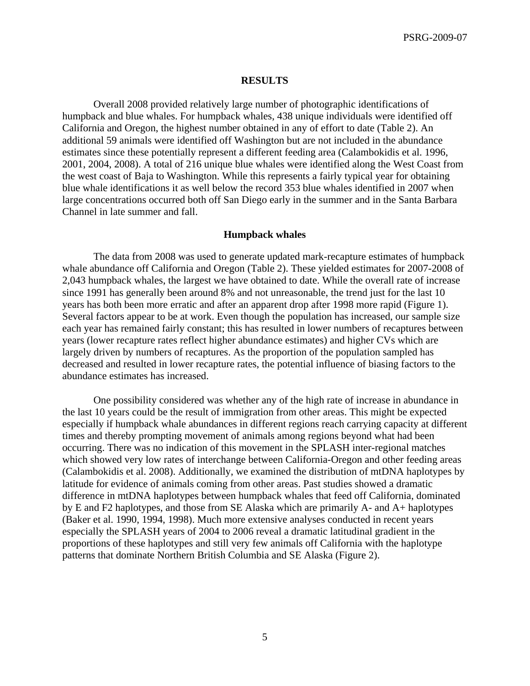### **RESULTS**

 Overall 2008 provided relatively large number of photographic identifications of humpback and blue whales. For humpback whales, 438 unique individuals were identified off California and Oregon, the highest number obtained in any of effort to date (Table 2). An additional 59 animals were identified off Washington but are not included in the abundance estimates since these potentially represent a different feeding area (Calambokidis et al. 1996, 2001, 2004, 2008). A total of 216 unique blue whales were identified along the West Coast from the west coast of Baja to Washington. While this represents a fairly typical year for obtaining blue whale identifications it as well below the record 353 blue whales identified in 2007 when large concentrations occurred both off San Diego early in the summer and in the Santa Barbara Channel in late summer and fall.

### **Humpback whales**

The data from 2008 was used to generate updated mark-recapture estimates of humpback whale abundance off California and Oregon (Table 2). These yielded estimates for 2007-2008 of 2,043 humpback whales, the largest we have obtained to date. While the overall rate of increase since 1991 has generally been around 8% and not unreasonable, the trend just for the last 10 years has both been more erratic and after an apparent drop after 1998 more rapid (Figure 1). Several factors appear to be at work. Even though the population has increased, our sample size each year has remained fairly constant; this has resulted in lower numbers of recaptures between years (lower recapture rates reflect higher abundance estimates) and higher CVs which are largely driven by numbers of recaptures. As the proportion of the population sampled has decreased and resulted in lower recapture rates, the potential influence of biasing factors to the abundance estimates has increased.

One possibility considered was whether any of the high rate of increase in abundance in the last 10 years could be the result of immigration from other areas. This might be expected especially if humpback whale abundances in different regions reach carrying capacity at different times and thereby prompting movement of animals among regions beyond what had been occurring. There was no indication of this movement in the SPLASH inter-regional matches which showed very low rates of interchange between California-Oregon and other feeding areas (Calambokidis et al. 2008). Additionally, we examined the distribution of mtDNA haplotypes by latitude for evidence of animals coming from other areas. Past studies showed a dramatic difference in mtDNA haplotypes between humpback whales that feed off California, dominated by E and F2 haplotypes, and those from SE Alaska which are primarily A- and A+ haplotypes (Baker et al. 1990, 1994, 1998). Much more extensive analyses conducted in recent years especially the SPLASH years of 2004 to 2006 reveal a dramatic latitudinal gradient in the proportions of these haplotypes and still very few animals off California with the haplotype patterns that dominate Northern British Columbia and SE Alaska (Figure 2).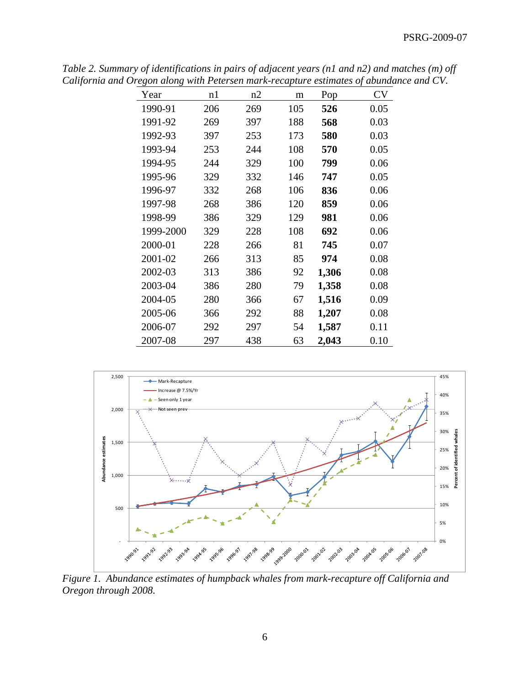| Year      | n1  | n2  | m   | Pop   | <b>CV</b> |
|-----------|-----|-----|-----|-------|-----------|
| 1990-91   | 206 | 269 | 105 | 526   | 0.05      |
| 1991-92   | 269 | 397 | 188 | 568   | 0.03      |
| 1992-93   | 397 | 253 | 173 | 580   | 0.03      |
| 1993-94   | 253 | 244 | 108 | 570   | 0.05      |
| 1994-95   | 244 | 329 | 100 | 799   | 0.06      |
| 1995-96   | 329 | 332 | 146 | 747   | 0.05      |
| 1996-97   | 332 | 268 | 106 | 836   | 0.06      |
| 1997-98   | 268 | 386 | 120 | 859   | 0.06      |
| 1998-99   | 386 | 329 | 129 | 981   | 0.06      |
| 1999-2000 | 329 | 228 | 108 | 692   | 0.06      |
| 2000-01   | 228 | 266 | 81  | 745   | 0.07      |
| 2001-02   | 266 | 313 | 85  | 974   | 0.08      |
| 2002-03   | 313 | 386 | 92  | 1,306 | 0.08      |
| 2003-04   | 386 | 280 | 79  | 1,358 | 0.08      |
| 2004-05   | 280 | 366 | 67  | 1,516 | 0.09      |
| 2005-06   | 366 | 292 | 88  | 1,207 | 0.08      |
| 2006-07   | 292 | 297 | 54  | 1,587 | 0.11      |
| 2007-08   | 297 | 438 | 63  | 2,043 | 0.10      |

*Table 2. Summary of identifications in pairs of adjacent years (n1 and n2) and matches (m) off California and Oregon along with Petersen mark-recapture estimates of abundance and CV.* 



*Figure 1. Abundance estimates of humpback whales from mark-recapture off California and Oregon through 2008.*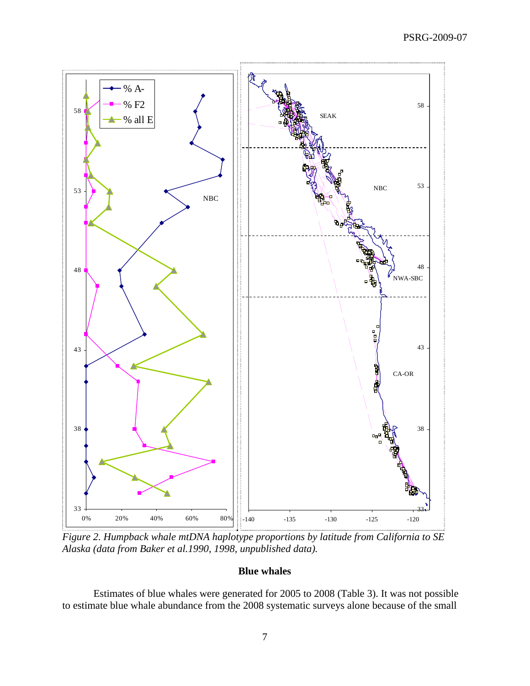

*Figure 2. Humpback whale mtDNA haplotype proportions by latitude from California to SE Alaska (data from Baker et al.1990, 1998, unpublished data).* 

# **Blue whales**

Estimates of blue whales were generated for 2005 to 2008 (Table 3). It was not possible to estimate blue whale abundance from the 2008 systematic surveys alone because of the small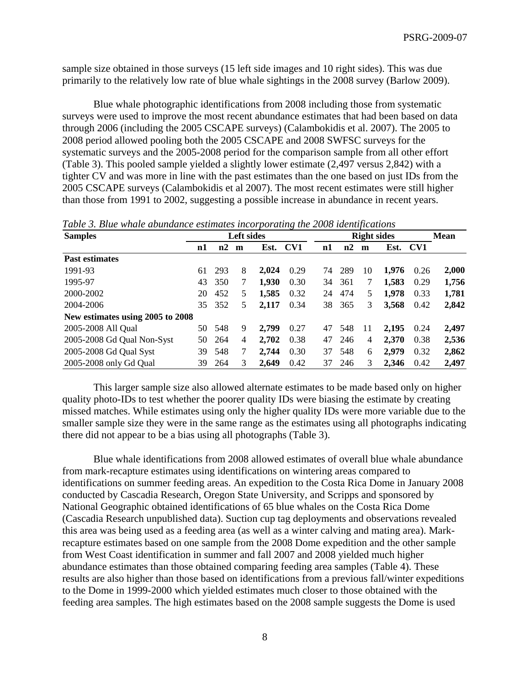sample size obtained in those surveys (15 left side images and 10 right sides). This was due primarily to the relatively low rate of blue whale sightings in the 2008 survey (Barlow 2009).

Blue whale photographic identifications from 2008 including those from systematic surveys were used to improve the most recent abundance estimates that had been based on data through 2006 (including the 2005 CSCAPE surveys) (Calambokidis et al. 2007). The 2005 to 2008 period allowed pooling both the 2005 CSCAPE and 2008 SWFSC surveys for the systematic surveys and the 2005-2008 period for the comparison sample from all other effort (Table 3). This pooled sample yielded a slightly lower estimate (2,497 versus 2,842) with a tighter CV and was more in line with the past estimates than the one based on just IDs from the 2005 CSCAPE surveys (Calambokidis et al 2007). The most recent estimates were still higher than those from 1991 to 2002, suggesting a possible increase in abundance in recent years.

| <b>Samples</b>                   | Left sides |     |   |       |      |    | <b>Right sides</b> |    |       |          |       |  |
|----------------------------------|------------|-----|---|-------|------|----|--------------------|----|-------|----------|-------|--|
|                                  | n1         | n2  | m | Est.  | CV1  | n1 | n2                 | m  |       | Est. CV1 |       |  |
| <b>Past estimates</b>            |            |     |   |       |      |    |                    |    |       |          |       |  |
| 1991-93                          | 61         | 293 | 8 | 2.024 | 0.29 | 74 | 289                | 10 | 1.976 | 0.26     | 2,000 |  |
| 1995-97                          | 43         | 350 |   | 1,930 | 0.30 | 34 | 361                |    | 1,583 | 0.29     | 1,756 |  |
| 2000-2002                        | 20         | 452 | 5 | 1,585 | 0.32 | 24 | 474                | 5  | 1,978 | 0.33     | 1,781 |  |
| 2004-2006                        | 35         | 352 | 5 | 2.117 | 0.34 | 38 | 365                | 3  | 3,568 | 0.42     | 2,842 |  |
| New estimates using 2005 to 2008 |            |     |   |       |      |    |                    |    |       |          |       |  |
| 2005-2008 All Qual               | 50         | 548 | 9 | 2.799 | 0.27 | 47 | 548                | 11 | 2.195 | 0.24     | 2,497 |  |
| 2005-2008 Gd Qual Non-Syst       | 50         | 264 | 4 | 2,702 | 0.38 | 47 | 246                | 4  | 2,370 | 0.38     | 2,536 |  |
| 2005-2008 Gd Qual Syst           | 39         | 548 | 7 | 2,744 | 0.30 | 37 | 548                | 6  | 2,979 | 0.32     | 2,862 |  |
| 2005-2008 only Gd Qual           | 39         | 264 | 3 | 2,649 | 0.42 | 37 | 246                | 3  | 2,346 | 0.42     | 2,497 |  |

*Table 3. Blue whale abundance estimates incorporating the 2008 identifications* 

This larger sample size also allowed alternate estimates to be made based only on higher quality photo-IDs to test whether the poorer quality IDs were biasing the estimate by creating missed matches. While estimates using only the higher quality IDs were more variable due to the smaller sample size they were in the same range as the estimates using all photographs indicating there did not appear to be a bias using all photographs (Table 3).

Blue whale identifications from 2008 allowed estimates of overall blue whale abundance from mark-recapture estimates using identifications on wintering areas compared to identifications on summer feeding areas. An expedition to the Costa Rica Dome in January 2008 conducted by Cascadia Research, Oregon State University, and Scripps and sponsored by National Geographic obtained identifications of 65 blue whales on the Costa Rica Dome (Cascadia Research unpublished data). Suction cup tag deployments and observations revealed this area was being used as a feeding area (as well as a winter calving and mating area). Markrecapture estimates based on one sample from the 2008 Dome expedition and the other sample from West Coast identification in summer and fall 2007 and 2008 yielded much higher abundance estimates than those obtained comparing feeding area samples (Table 4). These results are also higher than those based on identifications from a previous fall/winter expeditions to the Dome in 1999-2000 which yielded estimates much closer to those obtained with the feeding area samples. The high estimates based on the 2008 sample suggests the Dome is used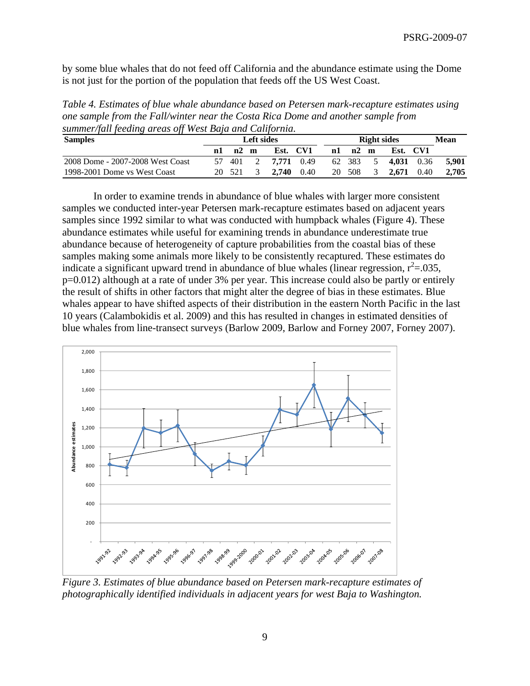by some blue whales that do not feed off California and the abundance estimate using the Dome is not just for the portion of the population that feeds off the US West Coast.

*Table 4. Estimates of blue whale abundance based on Petersen mark-recapture estimates using one sample from the Fall/winter near the Costa Rica Dome and another sample from summer/fall feeding areas off West Baja and California.* 

| <b>Samples</b>                   | Left sides |        |   |              |          |    | <b>Right sides</b> |   |       |              |       |
|----------------------------------|------------|--------|---|--------------|----------|----|--------------------|---|-------|--------------|-------|
|                                  |            | n2     | m |              | Est. CV1 | n1 | n2                 | m |       | Est. CV1     |       |
| 2008 Dome - 2007-2008 West Coast |            | 57 401 |   | 2 7.771 0.49 |          |    | 62 383             | 5 |       | $4.031$ 0.36 | 5.901 |
| 1998-2001 Dome vs West Coast     |            | 20 521 |   | 2.740        | 0.40     | 20 | 508                | 3 | 2.671 | 0.40         | 2.705 |

 In order to examine trends in abundance of blue whales with larger more consistent samples we conducted inter-year Petersen mark-recapture estimates based on adjacent years samples since 1992 similar to what was conducted with humpback whales (Figure 4). These abundance estimates while useful for examining trends in abundance underestimate true abundance because of heterogeneity of capture probabilities from the coastal bias of these samples making some animals more likely to be consistently recaptured. These estimates do indicate a significant upward trend in abundance of blue whales (linear regression,  $r^2$ =.035, p=0.012) although at a rate of under 3% per year. This increase could also be partly or entirely the result of shifts in other factors that might alter the degree of bias in these estimates. Blue whales appear to have shifted aspects of their distribution in the eastern North Pacific in the last 10 years (Calambokidis et al. 2009) and this has resulted in changes in estimated densities of blue whales from line-transect surveys (Barlow 2009, Barlow and Forney 2007, Forney 2007).



*Figure 3. Estimates of blue abundance based on Petersen mark-recapture estimates of photographically identified individuals in adjacent years for west Baja to Washington.*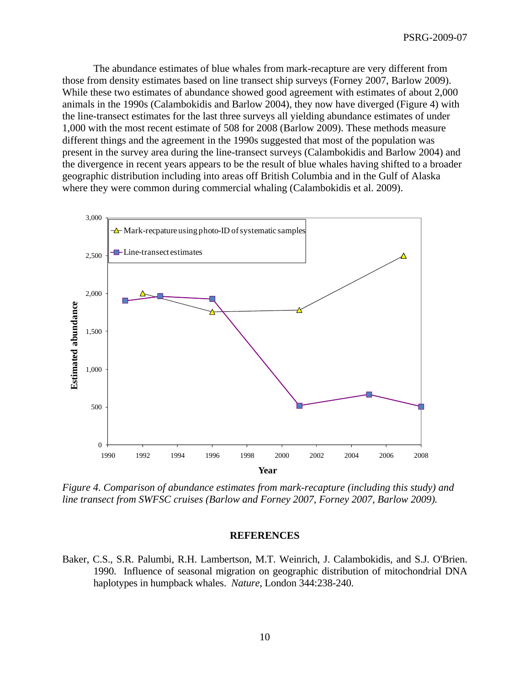The abundance estimates of blue whales from mark-recapture are very different from those from density estimates based on line transect ship surveys (Forney 2007, Barlow 2009). While these two estimates of abundance showed good agreement with estimates of about 2,000 animals in the 1990s (Calambokidis and Barlow 2004), they now have diverged (Figure 4) with the line-transect estimates for the last three surveys all yielding abundance estimates of under 1,000 with the most recent estimate of 508 for 2008 (Barlow 2009). These methods measure different things and the agreement in the 1990s suggested that most of the population was present in the survey area during the line-transect surveys (Calambokidis and Barlow 2004) and the divergence in recent years appears to be the result of blue whales having shifted to a broader geographic distribution including into areas off British Columbia and in the Gulf of Alaska where they were common during commercial whaling (Calambokidis et al. 2009).



*Figure 4. Comparison of abundance estimates from mark-recapture (including this study) and line transect from SWFSC cruises (Barlow and Forney 2007, Forney 2007, Barlow 2009).* 

### **REFERENCES**

Baker, C.S., S.R. Palumbi, R.H. Lambertson, M.T. Weinrich, J. Calambokidis, and S.J. O'Brien. 1990. Influence of seasonal migration on geographic distribution of mitochondrial DNA haplotypes in humpback whales. *Nature,* London 344:238-240.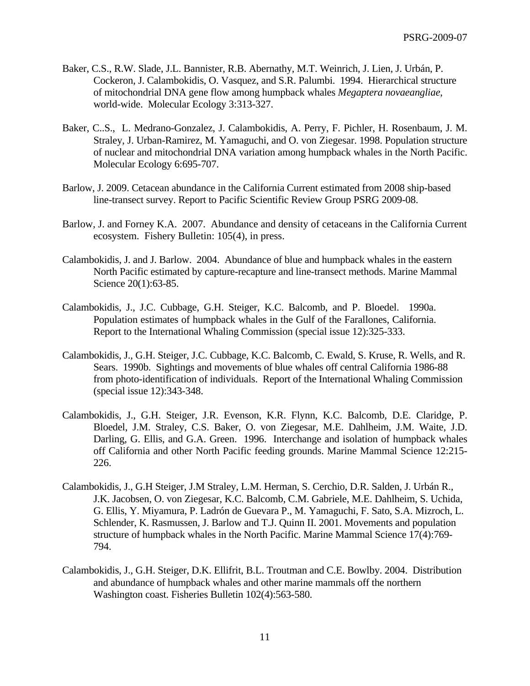- Baker, C.S., R.W. Slade, J.L. Bannister, R.B. Abernathy, M.T. Weinrich, J. Lien, J. Urbán, P. Cockeron, J. Calambokidis, O. Vasquez, and S.R. Palumbi. 1994. Hierarchical structure of mitochondrial DNA gene flow among humpback whales *Megaptera novaeangliae*, world-wide. Molecular Ecology 3:313-327.
- Baker, C..S., L. Medrano-Gonzalez, J. Calambokidis, A. Perry, F. Pichler, H. Rosenbaum, J. M. Straley, J. Urban-Ramirez, M. Yamaguchi, and O. von Ziegesar. 1998. Population structure of nuclear and mitochondrial DNA variation among humpback whales in the North Pacific. Molecular Ecology 6:695-707.
- Barlow, J. 2009. Cetacean abundance in the California Current estimated from 2008 ship-based line-transect survey. Report to Pacific Scientific Review Group PSRG 2009-08.
- Barlow, J. and Forney K.A. 2007. Abundance and density of cetaceans in the California Current ecosystem. Fishery Bulletin: 105(4), in press.
- Calambokidis, J. and J. Barlow. 2004. Abundance of blue and humpback whales in the eastern North Pacific estimated by capture-recapture and line-transect methods. Marine Mammal Science 20(1):63-85.
- Calambokidis, J., J.C. Cubbage, G.H. Steiger, K.C. Balcomb, and P. Bloedel. 1990a. Population estimates of humpback whales in the Gulf of the Farallones, California. Report to the International Whaling Commission (special issue 12):325-333.
- Calambokidis, J., G.H. Steiger, J.C. Cubbage, K.C. Balcomb, C. Ewald, S. Kruse, R. Wells, and R. Sears. 1990b. Sightings and movements of blue whales off central California 1986-88 from photo-identification of individuals. Report of the International Whaling Commission (special issue 12):343-348.
- Calambokidis, J., G.H. Steiger, J.R. Evenson, K.R. Flynn, K.C. Balcomb, D.E. Claridge, P. Bloedel, J.M. Straley, C.S. Baker, O. von Ziegesar, M.E. Dahlheim, J.M. Waite, J.D. Darling, G. Ellis, and G.A. Green. 1996. Interchange and isolation of humpback whales off California and other North Pacific feeding grounds. Marine Mammal Science 12:215- 226.
- Calambokidis, J., G.H Steiger, J.M Straley, L.M. Herman, S. Cerchio, D.R. Salden, J. Urbán R., J.K. Jacobsen, O. von Ziegesar, K.C. Balcomb, C.M. Gabriele, M.E. Dahlheim, S. Uchida, G. Ellis, Y. Miyamura, P. Ladrón de Guevara P., M. Yamaguchi, F. Sato, S.A. Mizroch, L. Schlender, K. Rasmussen, J. Barlow and T.J. Quinn II. 2001. Movements and population structure of humpback whales in the North Pacific. Marine Mammal Science 17(4):769- 794.
- Calambokidis, J., G.H. Steiger, D.K. Ellifrit, B.L. Troutman and C.E. Bowlby. 2004. Distribution and abundance of humpback whales and other marine mammals off the northern Washington coast. Fisheries Bulletin 102(4):563-580.